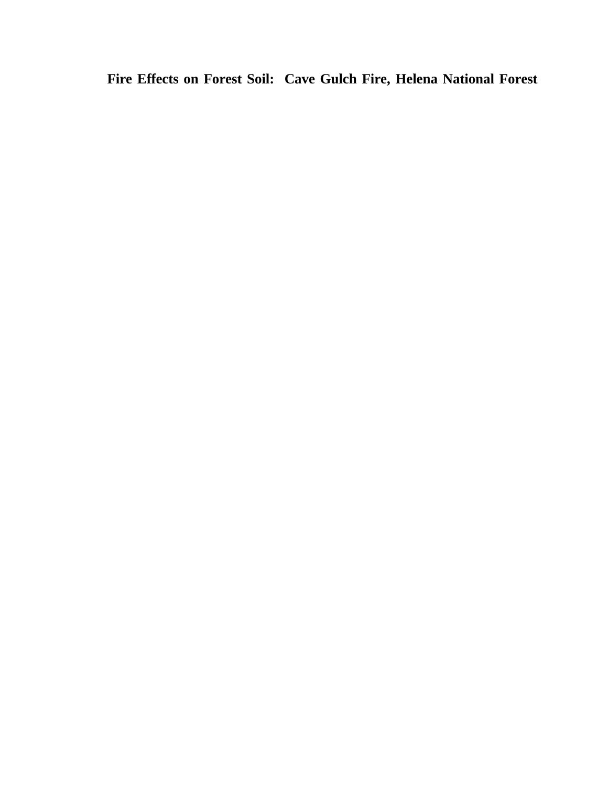**Fire Effects on Forest Soil: Cave Gulch Fire, Helena National Forest**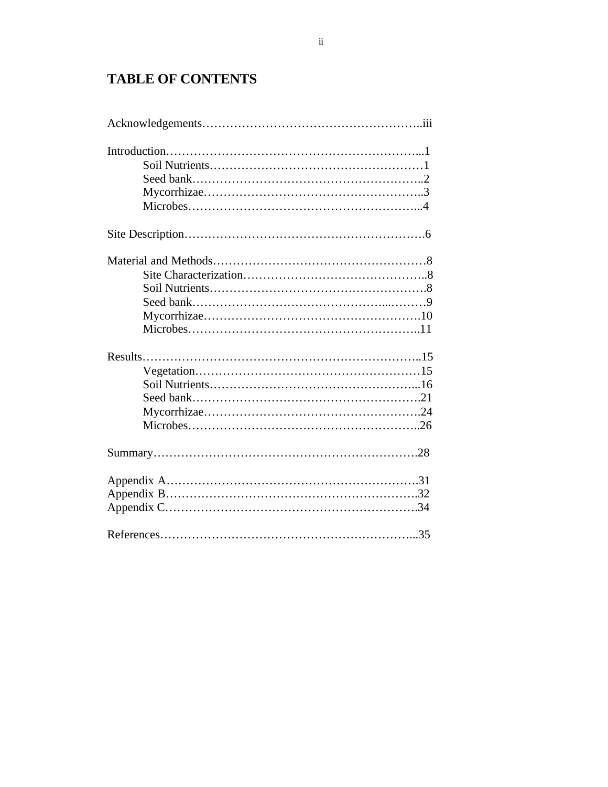# **TABLE OF CONTENTS**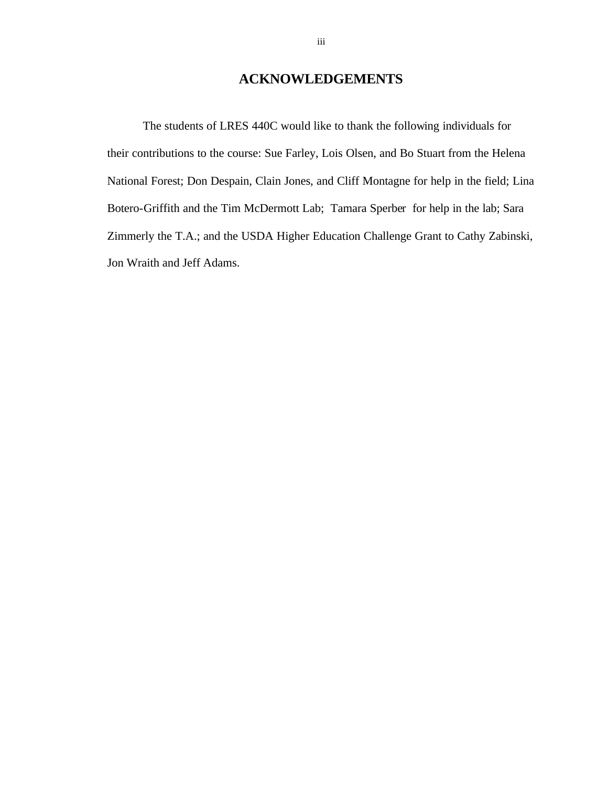# **ACKNOWLEDGEMENTS**

The students of LRES 440C would like to thank the following individuals for their contributions to the course: Sue Farley, Lois Olsen, and Bo Stuart from the Helena National Forest; Don Despain, Clain Jones, and Cliff Montagne for help in the field; Lina Botero-Griffith and the Tim McDermott Lab; Tamara Sperber for help in the lab; Sara Zimmerly the T.A.; and the USDA Higher Education Challenge Grant to Cathy Zabinski, Jon Wraith and Jeff Adams.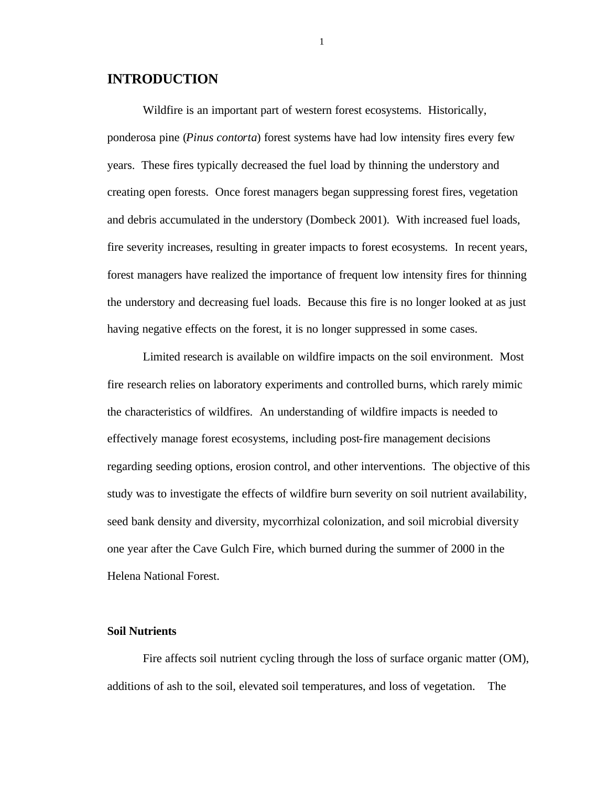# **INTRODUCTION**

Wildfire is an important part of western forest ecosystems. Historically, ponderosa pine (*Pinus contorta*) forest systems have had low intensity fires every few years. These fires typically decreased the fuel load by thinning the understory and creating open forests. Once forest managers began suppressing forest fires, vegetation and debris accumulated in the understory (Dombeck 2001). With increased fuel loads, fire severity increases, resulting in greater impacts to forest ecosystems. In recent years, forest managers have realized the importance of frequent low intensity fires for thinning the understory and decreasing fuel loads. Because this fire is no longer looked at as just having negative effects on the forest, it is no longer suppressed in some cases.

Limited research is available on wildfire impacts on the soil environment. Most fire research relies on laboratory experiments and controlled burns, which rarely mimic the characteristics of wildfires. An understanding of wildfire impacts is needed to effectively manage forest ecosystems, including post-fire management decisions regarding seeding options, erosion control, and other interventions. The objective of this study was to investigate the effects of wildfire burn severity on soil nutrient availability, seed bank density and diversity, mycorrhizal colonization, and soil microbial diversity one year after the Cave Gulch Fire, which burned during the summer of 2000 in the Helena National Forest.

#### **Soil Nutrients**

Fire affects soil nutrient cycling through the loss of surface organic matter (OM), additions of ash to the soil, elevated soil temperatures, and loss of vegetation. The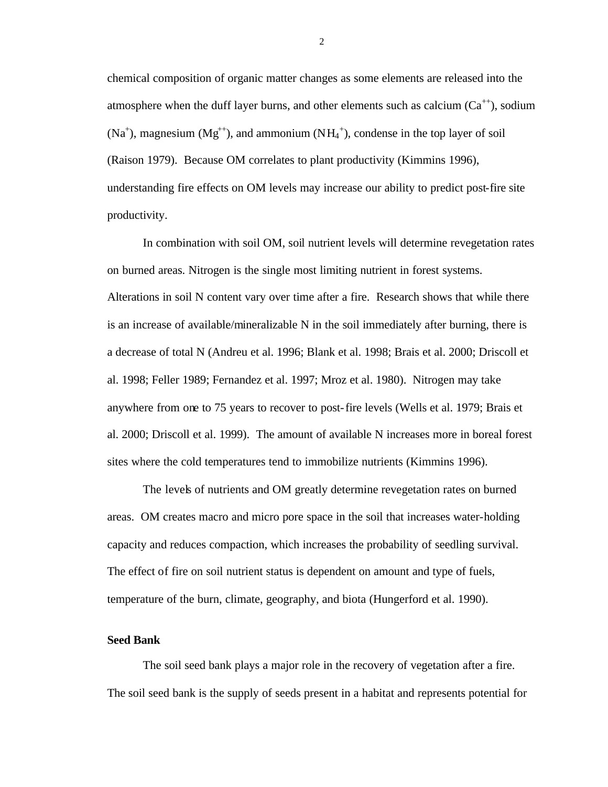chemical composition of organic matter changes as some elements are released into the atmosphere when the duff layer burns, and other elements such as calcium  $(Ca^{++})$ , sodium  $(Na<sup>+</sup>)$ , magnesium  $(Mg<sup>++</sup>)$ , and ammonium  $(NH<sub>4</sub><sup>+</sup>)$ , condense in the top layer of soil (Raison 1979). Because OM correlates to plant productivity (Kimmins 1996), understanding fire effects on OM levels may increase our ability to predict post-fire site productivity.

In combination with soil OM, soil nutrient levels will determine revegetation rates on burned areas. Nitrogen is the single most limiting nutrient in forest systems. Alterations in soil N content vary over time after a fire. Research shows that while there is an increase of available/mineralizable N in the soil immediately after burning, there is a decrease of total N (Andreu et al. 1996; Blank et al. 1998; Brais et al. 2000; Driscoll et al. 1998; Feller 1989; Fernandez et al. 1997; Mroz et al. 1980). Nitrogen may take anywhere from one to 75 years to recover to post-fire levels (Wells et al. 1979; Brais et al. 2000; Driscoll et al. 1999). The amount of available N increases more in boreal forest sites where the cold temperatures tend to immobilize nutrients (Kimmins 1996).

The levels of nutrients and OM greatly determine revegetation rates on burned areas. OM creates macro and micro pore space in the soil that increases water-holding capacity and reduces compaction, which increases the probability of seedling survival. The effect of fire on soil nutrient status is dependent on amount and type of fuels, temperature of the burn, climate, geography, and biota (Hungerford et al. 1990).

#### **Seed Bank**

The soil seed bank plays a major role in the recovery of vegetation after a fire. The soil seed bank is the supply of seeds present in a habitat and represents potential for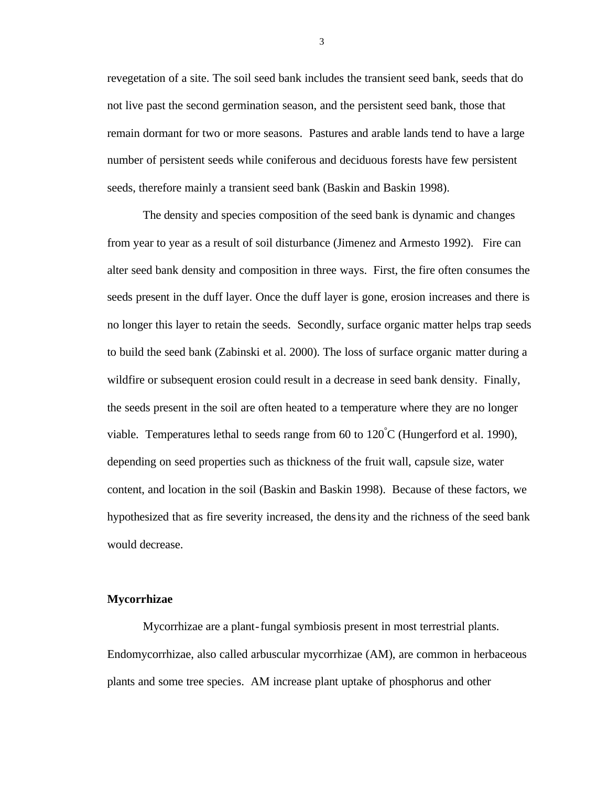revegetation of a site. The soil seed bank includes the transient seed bank, seeds that do not live past the second germination season, and the persistent seed bank, those that remain dormant for two or more seasons. Pastures and arable lands tend to have a large number of persistent seeds while coniferous and deciduous forests have few persistent seeds, therefore mainly a transient seed bank (Baskin and Baskin 1998).

The density and species composition of the seed bank is dynamic and changes from year to year as a result of soil disturbance (Jimenez and Armesto 1992). Fire can alter seed bank density and composition in three ways. First, the fire often consumes the seeds present in the duff layer. Once the duff layer is gone, erosion increases and there is no longer this layer to retain the seeds. Secondly, surface organic matter helps trap seeds to build the seed bank (Zabinski et al. 2000). The loss of surface organic matter during a wildfire or subsequent erosion could result in a decrease in seed bank density. Finally, the seeds present in the soil are often heated to a temperature where they are no longer viable. Temperatures lethal to seeds range from 60 to  $120^{\circ}$ C (Hungerford et al. 1990), depending on seed properties such as thickness of the fruit wall, capsule size, water content, and location in the soil (Baskin and Baskin 1998). Because of these factors, we hypothesized that as fire severity increased, the density and the richness of the seed bank would decrease.

#### **Mycorrhizae**

Mycorrhizae are a plant-fungal symbiosis present in most terrestrial plants. Endomycorrhizae, also called arbuscular mycorrhizae (AM), are common in herbaceous plants and some tree species. AM increase plant uptake of phosphorus and other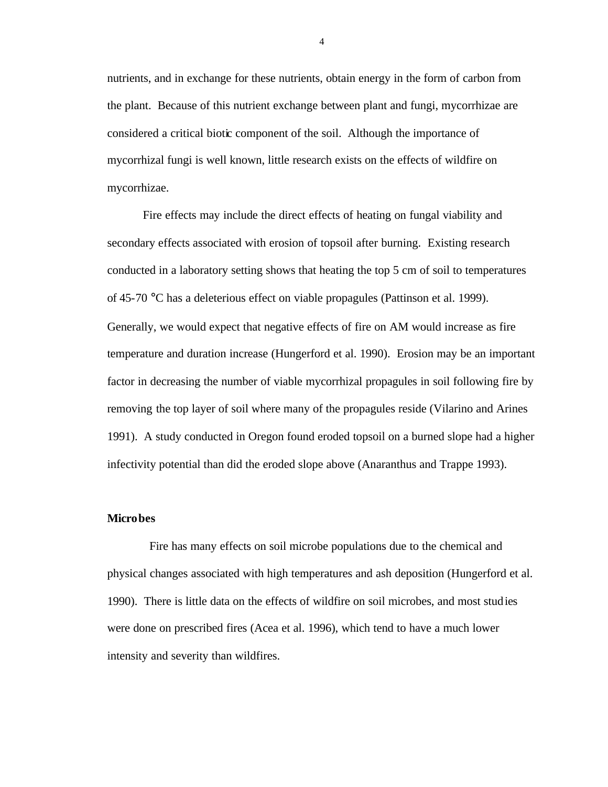nutrients, and in exchange for these nutrients, obtain energy in the form of carbon from the plant. Because of this nutrient exchange between plant and fungi, mycorrhizae are considered a critical biotic component of the soil. Although the importance of mycorrhizal fungi is well known, little research exists on the effects of wildfire on mycorrhizae.

Fire effects may include the direct effects of heating on fungal viability and secondary effects associated with erosion of topsoil after burning. Existing research conducted in a laboratory setting shows that heating the top 5 cm of soil to temperatures of 45-70 °C has a deleterious effect on viable propagules (Pattinson et al. 1999). Generally, we would expect that negative effects of fire on AM would increase as fire temperature and duration increase (Hungerford et al. 1990). Erosion may be an important factor in decreasing the number of viable mycorrhizal propagules in soil following fire by removing the top layer of soil where many of the propagules reside (Vilarino and Arines 1991). A study conducted in Oregon found eroded topsoil on a burned slope had a higher infectivity potential than did the eroded slope above (Anaranthus and Trappe 1993).

#### **Microbes**

 Fire has many effects on soil microbe populations due to the chemical and physical changes associated with high temperatures and ash deposition (Hungerford et al. 1990). There is little data on the effects of wildfire on soil microbes, and most studies were done on prescribed fires (Acea et al. 1996), which tend to have a much lower intensity and severity than wildfires.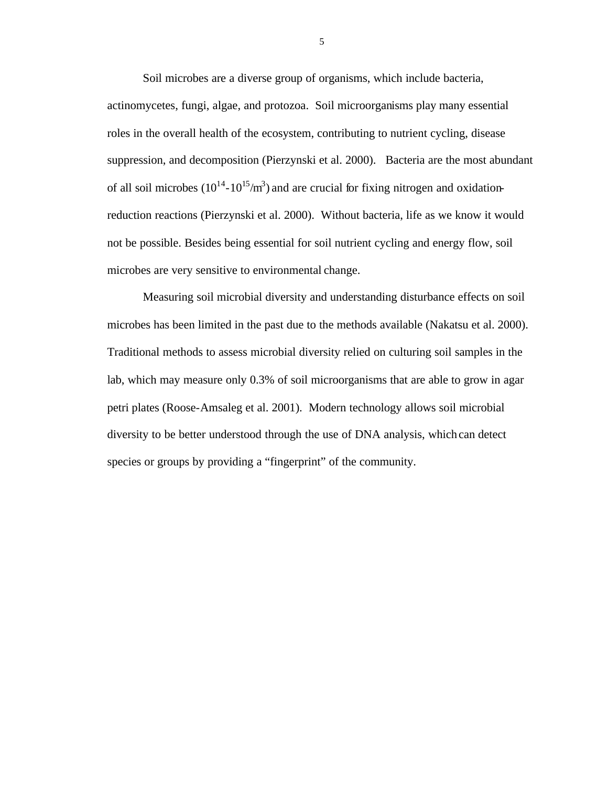Soil microbes are a diverse group of organisms, which include bacteria, actinomycetes, fungi, algae, and protozoa. Soil microorganisms play many essential roles in the overall health of the ecosystem, contributing to nutrient cycling, disease suppression, and decomposition (Pierzynski et al. 2000). Bacteria are the most abundant of all soil microbes  $(10^{14} - 10^{15}/m^3)$  and are crucial for fixing nitrogen and oxidationreduction reactions (Pierzynski et al. 2000). Without bacteria, life as we know it would not be possible. Besides being essential for soil nutrient cycling and energy flow, soil microbes are very sensitive to environmental change.

Measuring soil microbial diversity and understanding disturbance effects on soil microbes has been limited in the past due to the methods available (Nakatsu et al. 2000). Traditional methods to assess microbial diversity relied on culturing soil samples in the lab, which may measure only 0.3% of soil microorganisms that are able to grow in agar petri plates (Roose-Amsaleg et al. 2001). Modern technology allows soil microbial diversity to be better understood through the use of DNA analysis, which can detect species or groups by providing a "fingerprint" of the community.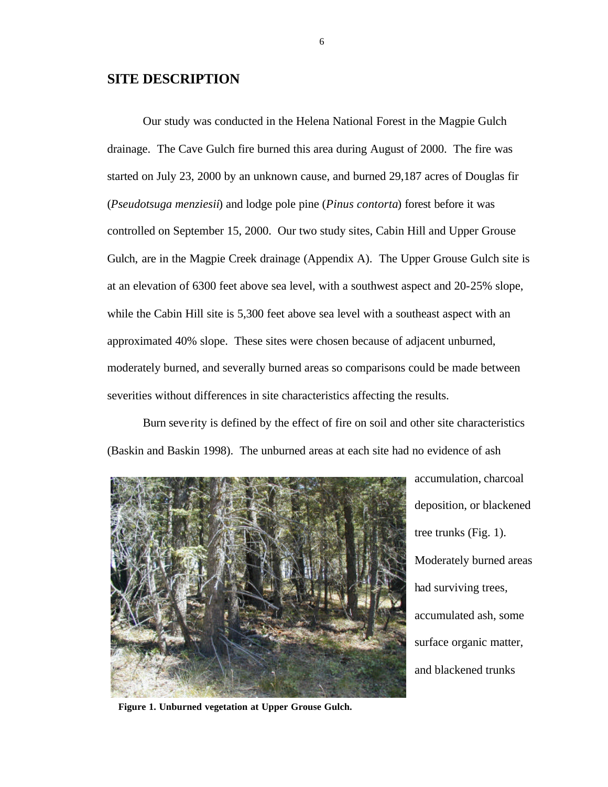# **SITE DESCRIPTION**

Our study was conducted in the Helena National Forest in the Magpie Gulch drainage. The Cave Gulch fire burned this area during August of 2000. The fire was started on July 23, 2000 by an unknown cause, and burned 29,187 acres of Douglas fir (*Pseudotsuga menziesii*) and lodge pole pine (*Pinus contorta*) forest before it was controlled on September 15, 2000. Our two study sites, Cabin Hill and Upper Grouse Gulch, are in the Magpie Creek drainage (Appendix A). The Upper Grouse Gulch site is at an elevation of 6300 feet above sea level, with a southwest aspect and 20-25% slope, while the Cabin Hill site is 5,300 feet above sea level with a southeast aspect with an approximated 40% slope. These sites were chosen because of adjacent unburned, moderately burned, and severally burned areas so comparisons could be made between severities without differences in site characteristics affecting the results.

Burn severity is defined by the effect of fire on soil and other site characteristics (Baskin and Baskin 1998). The unburned areas at each site had no evidence of ash



accumulation, charcoal deposition, or blackened tree trunks (Fig. 1). Moderately burned areas had surviving trees, accumulated ash, some surface organic matter, and blackened trunks

**Figure 1. Unburned vegetation at Upper Grouse Gulch.**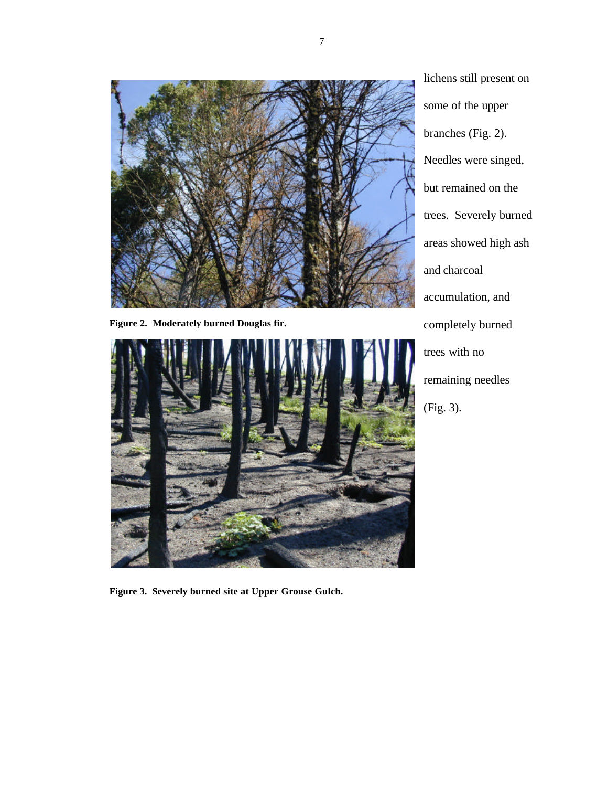

**Figure 2. Moderately burned Douglas fir.**



lichens still present on some of the upper branches (Fig. 2). Needles were singed, but remained on the trees. Severely burned areas showed high ash and charcoal accumulation, and completely burned trees with no remaining needles (Fig. 3).

**Figure 3. Severely burned site at Upper Grouse Gulch.**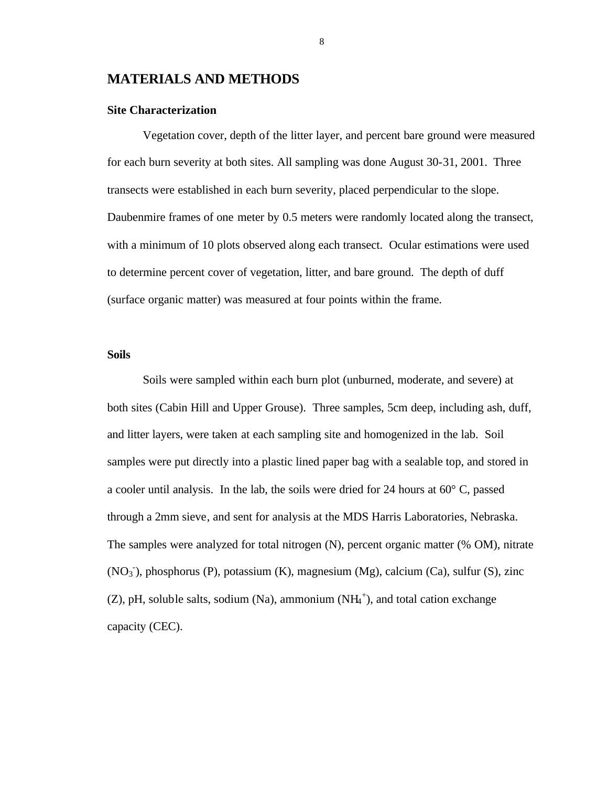# **MATERIALS AND METHODS**

#### **Site Characterization**

Vegetation cover, depth of the litter layer, and percent bare ground were measured for each burn severity at both sites. All sampling was done August 30-31, 2001. Three transects were established in each burn severity, placed perpendicular to the slope. Daubenmire frames of one meter by 0.5 meters were randomly located along the transect, with a minimum of 10 plots observed along each transect. Ocular estimations were used to determine percent cover of vegetation, litter, and bare ground. The depth of duff (surface organic matter) was measured at four points within the frame.

#### **Soils**

Soils were sampled within each burn plot (unburned, moderate, and severe) at both sites (Cabin Hill and Upper Grouse). Three samples, 5cm deep, including ash, duff, and litter layers, were taken at each sampling site and homogenized in the lab. Soil samples were put directly into a plastic lined paper bag with a sealable top, and stored in a cooler until analysis. In the lab, the soils were dried for 24 hours at 60° C, passed through a 2mm sieve, and sent for analysis at the MDS Harris Laboratories, Nebraska. The samples were analyzed for total nitrogen (N), percent organic matter (% OM), nitrate (NO<sub>3</sub><sup>)</sup>, phosphorus (P), potassium (K), magnesium (Mg), calcium (Ca), sulfur (S), zinc  $(Z)$ , pH, soluble salts, sodium (Na), ammonium (NH $_4^+$ ), and total cation exchange capacity (CEC).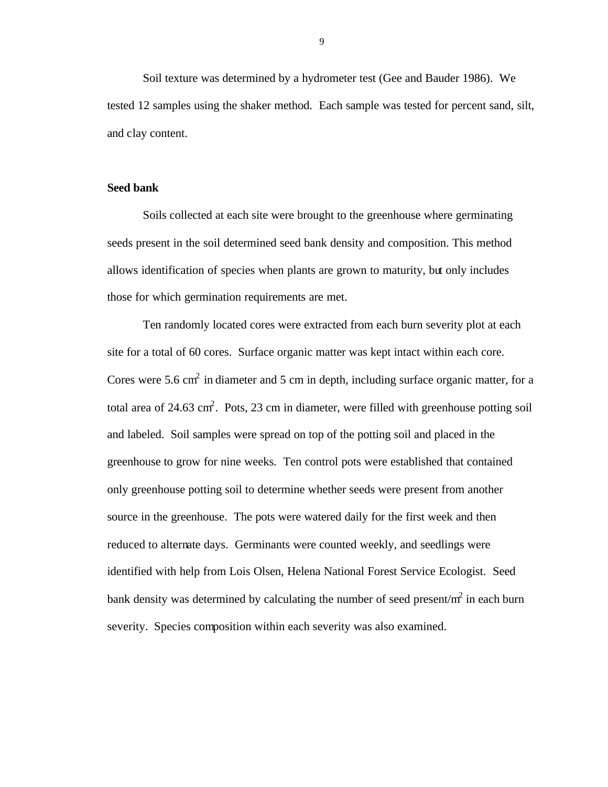Soil texture was determined by a hydrometer test (Gee and Bauder 1986). We tested 12 samples using the shaker method. Each sample was tested for percent sand, silt, and clay content.

#### **Seed bank**

Soils collected at each site were brought to the greenhouse where germinating seeds present in the soil determined seed bank density and composition. This method allows identification of species when plants are grown to maturity, but only includes those for which germination requirements are met.

Ten randomly located cores were extracted from each burn severity plot at each site for a total of 60 cores. Surface organic matter was kept intact within each core. Cores were 5.6 cm<sup>2</sup> in diameter and 5 cm in depth, including surface organic matter, for a total area of 24.63 cm<sup>2</sup>. Pots, 23 cm in diameter, were filled with greenhouse potting soil and labeled. Soil samples were spread on top of the potting soil and placed in the greenhouse to grow for nine weeks. Ten control pots were established that contained only greenhouse potting soil to determine whether seeds were present from another source in the greenhouse. The pots were watered daily for the first week and then reduced to alternate days. Germinants were counted weekly, and seedlings were identified with help from Lois Olsen, Helena National Forest Service Ecologist. Seed bank density was determined by calculating the number of seed present/ $m^2$  in each burn severity. Species composition within each severity was also examined.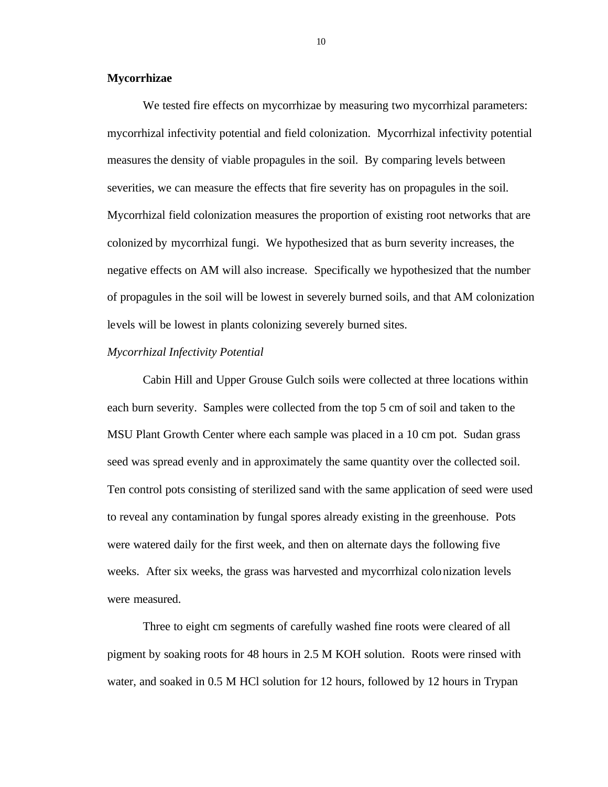#### **Mycorrhizae**

We tested fire effects on mycorrhizae by measuring two mycorrhizal parameters: mycorrhizal infectivity potential and field colonization. Mycorrhizal infectivity potential measures the density of viable propagules in the soil. By comparing levels between severities, we can measure the effects that fire severity has on propagules in the soil. Mycorrhizal field colonization measures the proportion of existing root networks that are colonized by mycorrhizal fungi. We hypothesized that as burn severity increases, the negative effects on AM will also increase. Specifically we hypothesized that the number of propagules in the soil will be lowest in severely burned soils, and that AM colonization levels will be lowest in plants colonizing severely burned sites.

#### *Mycorrhizal Infectivity Potential*

Cabin Hill and Upper Grouse Gulch soils were collected at three locations within each burn severity. Samples were collected from the top 5 cm of soil and taken to the MSU Plant Growth Center where each sample was placed in a 10 cm pot. Sudan grass seed was spread evenly and in approximately the same quantity over the collected soil. Ten control pots consisting of sterilized sand with the same application of seed were used to reveal any contamination by fungal spores already existing in the greenhouse. Pots were watered daily for the first week, and then on alternate days the following five weeks. After six weeks, the grass was harvested and mycorrhizal colonization levels were measured.

Three to eight cm segments of carefully washed fine roots were cleared of all pigment by soaking roots for 48 hours in 2.5 M KOH solution. Roots were rinsed with water, and soaked in 0.5 M HCl solution for 12 hours, followed by 12 hours in Trypan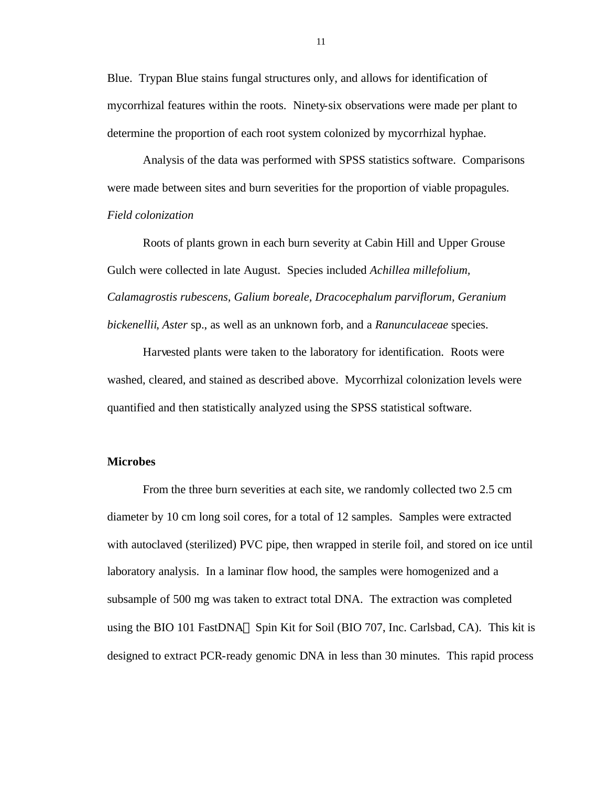Blue. Trypan Blue stains fungal structures only, and allows for identification of mycorrhizal features within the roots. Ninety-six observations were made per plant to determine the proportion of each root system colonized by mycorrhizal hyphae.

Analysis of the data was performed with SPSS statistics software. Comparisons were made between sites and burn severities for the proportion of viable propagules. *Field colonization*

Roots of plants grown in each burn severity at Cabin Hill and Upper Grouse Gulch were collected in late August. Species included *Achillea millefolium, Calamagrostis rubescens, Galium boreale, Dracocephalum parviflorum, Geranium bickenellii*, *Aster* sp., as well as an unknown forb, and a *Ranunculaceae* species.

Harvested plants were taken to the laboratory for identification. Roots were washed, cleared, and stained as described above. Mycorrhizal colonization levels were quantified and then statistically analyzed using the SPSS statistical software.

#### **Microbes**

From the three burn severities at each site, we randomly collected two 2.5 cm diameter by 10 cm long soil cores, for a total of 12 samples. Samples were extracted with autoclaved (sterilized) PVC pipe, then wrapped in sterile foil, and stored on ice until laboratory analysis. In a laminar flow hood, the samples were homogenized and a subsample of 500 mg was taken to extract total DNA. The extraction was completed using the BIO 101 FastDNA® Spin Kit for Soil (BIO 707, Inc. Carlsbad, CA). This kit is designed to extract PCR-ready genomic DNA in less than 30 minutes. This rapid process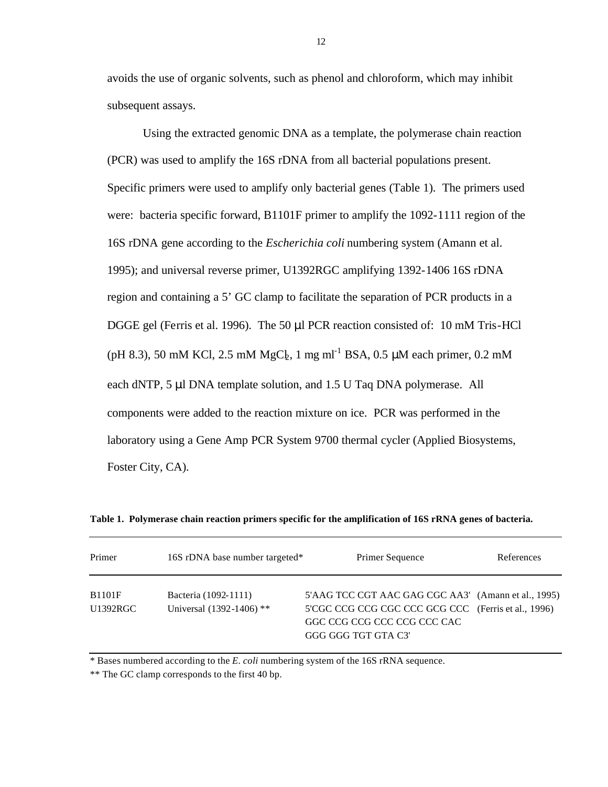avoids the use of organic solvents, such as phenol and chloroform, which may inhibit subsequent assays.

Using the extracted genomic DNA as a template, the polymerase chain reaction (PCR) was used to amplify the 16S rDNA from all bacterial populations present. Specific primers were used to amplify only bacterial genes (Table 1). The primers used were: bacteria specific forward, B1101F primer to amplify the 1092-1111 region of the 16S rDNA gene according to the *Escherichia coli* numbering system (Amann et al. 1995); and universal reverse primer, U1392RGC amplifying 1392-1406 16S rDNA region and containing a 5' GC clamp to facilitate the separation of PCR products in a DGGE gel (Ferris et al. 1996). The 50 μl PCR reaction consisted of: 10 mM Tris-HCl (pH 8.3), 50 mM KCl, 2.5 mM  $MgC_{\frac{1}{2}}$ , 1 mg ml<sup>-1</sup> BSA, 0.5 µM each primer, 0.2 mM each dNTP, 5 μl DNA template solution, and 1.5 U Taq DNA polymerase. All components were added to the reaction mixture on ice. PCR was performed in the laboratory using a Gene Amp PCR System 9700 thermal cycler (Applied Biosystems, Foster City, CA).

| Primer                    | 16S rDNA base number targeted*                   | Primer Sequence                                                                                                                                                  | References |
|---------------------------|--------------------------------------------------|------------------------------------------------------------------------------------------------------------------------------------------------------------------|------------|
| <b>B1101F</b><br>U1392RGC | Bacteria (1092-1111)<br>Universal (1392-1406) ** | 5'AAG TCC CGT AAC GAG CGC AA3' (Amann et al., 1995)<br>5'CGC CCG CCG CGC CCC GCG CCC (Ferris et al., 1996)<br>GGC CCG CCG CCC CCG CCC CAC<br>GGG GGG TGT GTA C3' |            |

**Table 1. Polymerase chain reaction primers specific for the amplification of 16S rRNA genes of bacteria.**

\* Bases numbered according to the *E. coli* numbering system of the 16S rRNA sequence.

\*\* The GC clamp corresponds to the first 40 bp.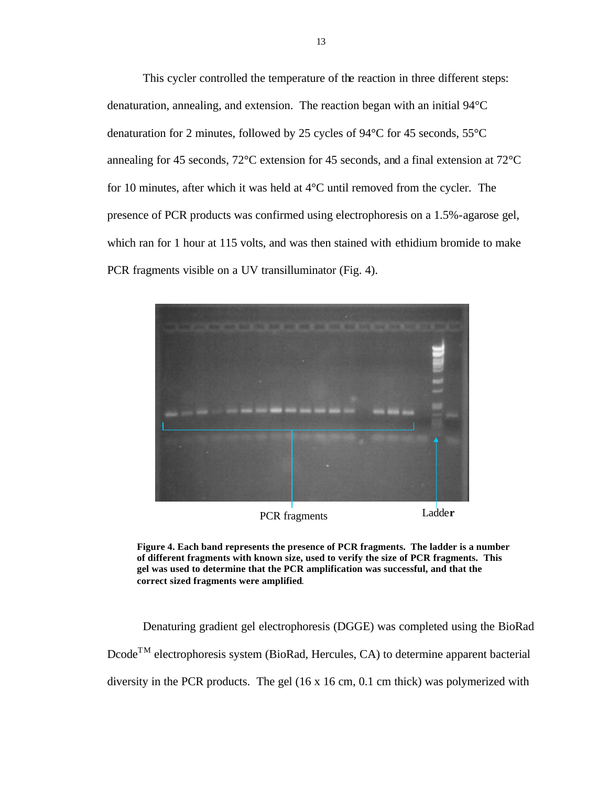This cycler controlled the temperature of the reaction in three different steps: denaturation, annealing, and extension. The reaction began with an initial 94°C denaturation for 2 minutes, followed by 25 cycles of 94°C for 45 seconds, 55°C annealing for 45 seconds, 72°C extension for 45 seconds, and a final extension at 72°C for 10 minutes, after which it was held at 4°C until removed from the cycler. The presence of PCR products was confirmed using electrophoresis on a 1.5%-agarose gel, which ran for 1 hour at 115 volts, and was then stained with ethidium bromide to make PCR fragments visible on a UV transilluminator (Fig. 4).



PCR fragments Ladde**r**

**Figure 4. Each band represents the presence of PCR fragments. The ladder is a number of different fragments with known size, used to verify the size of PCR fragments. This gel was used to determine that the PCR amplification was successful, and that the correct sized fragments were amplified**.

Denaturing gradient gel electrophoresis (DGGE) was completed using the BioRad DcodeTM electrophoresis system (BioRad, Hercules, CA) to determine apparent bacterial diversity in the PCR products. The gel (16 x 16 cm, 0.1 cm thick) was polymerized with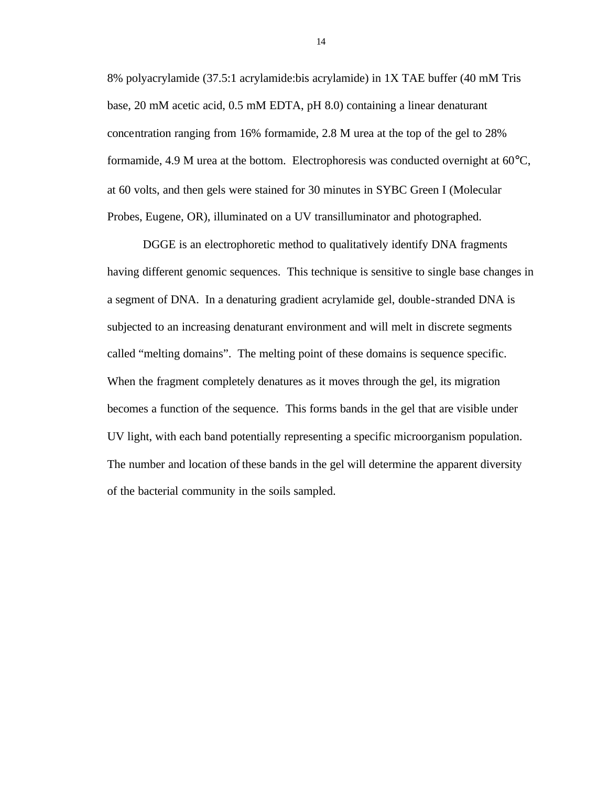8% polyacrylamide (37.5:1 acrylamide:bis acrylamide) in 1X TAE buffer (40 mM Tris base, 20 mM acetic acid, 0.5 mM EDTA, pH 8.0) containing a linear denaturant concentration ranging from 16% formamide, 2.8 M urea at the top of the gel to 28% formamide, 4.9 M urea at the bottom. Electrophoresis was conducted overnight at 60°C, at 60 volts, and then gels were stained for 30 minutes in SYBC Green I (Molecular Probes, Eugene, OR), illuminated on a UV transilluminator and photographed.

DGGE is an electrophoretic method to qualitatively identify DNA fragments having different genomic sequences. This technique is sensitive to single base changes in a segment of DNA. In a denaturing gradient acrylamide gel, double-stranded DNA is subjected to an increasing denaturant environment and will melt in discrete segments called "melting domains". The melting point of these domains is sequence specific. When the fragment completely denatures as it moves through the gel, its migration becomes a function of the sequence. This forms bands in the gel that are visible under UV light, with each band potentially representing a specific microorganism population. The number and location of these bands in the gel will determine the apparent diversity of the bacterial community in the soils sampled.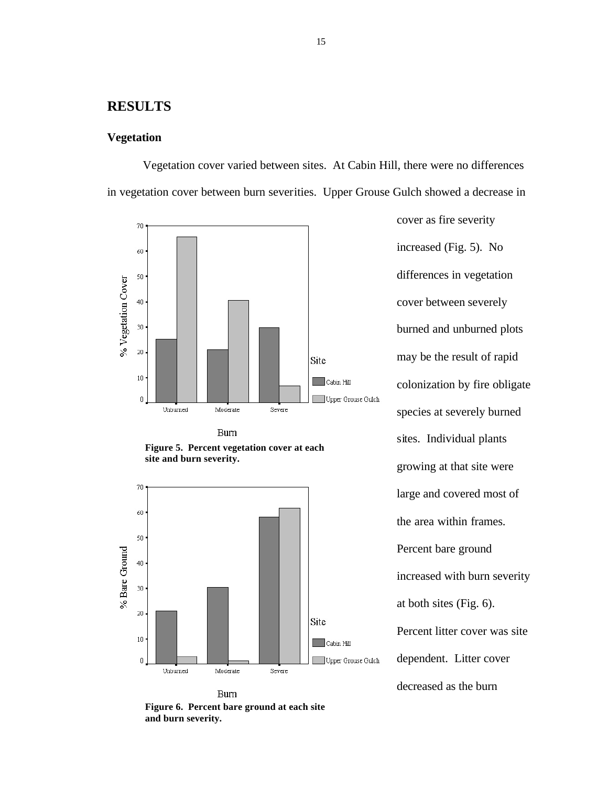## **RESULTS**

#### **Vegetation**

Vegetation cover varied between sites. At Cabin Hill, there were no differences in vegetation cover between burn severities. Upper Grouse Gulch showed a decrease in



**Burn** 





**Burn Figure 6. Percent bare ground at each site and burn severity.**

increased (Fig. 5). No differences in vegetation cover between severely burned and unburned plots may be the result of rapid colonization by fire obligate species at severely burned sites. Individual plants growing at that site were large and covered most of the area within frames. Percent bare ground increased with burn severity at both sites (Fig. 6). Percent litter cover was site dependent. Litter cover decreased as the burn

cover as fire severity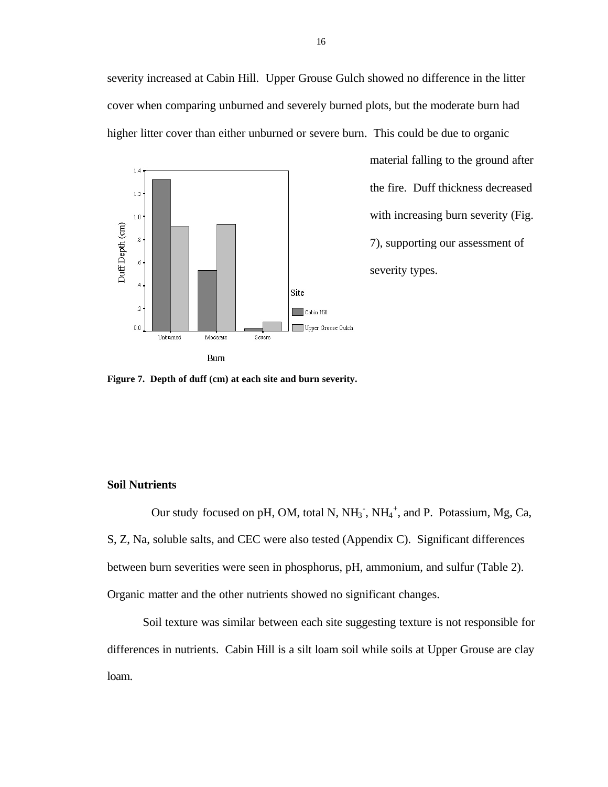severity increased at Cabin Hill. Upper Grouse Gulch showed no difference in the litter cover when comparing unburned and severely burned plots, but the moderate burn had higher litter cover than either unburned or severe burn. This could be due to organic



material falling to the ground after the fire. Duff thickness decreased with increasing burn severity (Fig. 7), supporting our assessment of severity types.

**Figure 7. Depth of duff (cm) at each site and burn severity.**

#### **Soil Nutrients**

Our study focused on pH, OM, total N,  $NH_3$ <sup>-</sup>,  $NH_4$ <sup>+</sup>, and P. Potassium, Mg, Ca, S, Z, Na, soluble salts, and CEC were also tested (Appendix C). Significant differences between burn severities were seen in phosphorus, pH, ammonium, and sulfur (Table 2). Organic matter and the other nutrients showed no significant changes.

Soil texture was similar between each site suggesting texture is not responsible for differences in nutrients. Cabin Hill is a silt loam soil while soils at Upper Grouse are clay loam.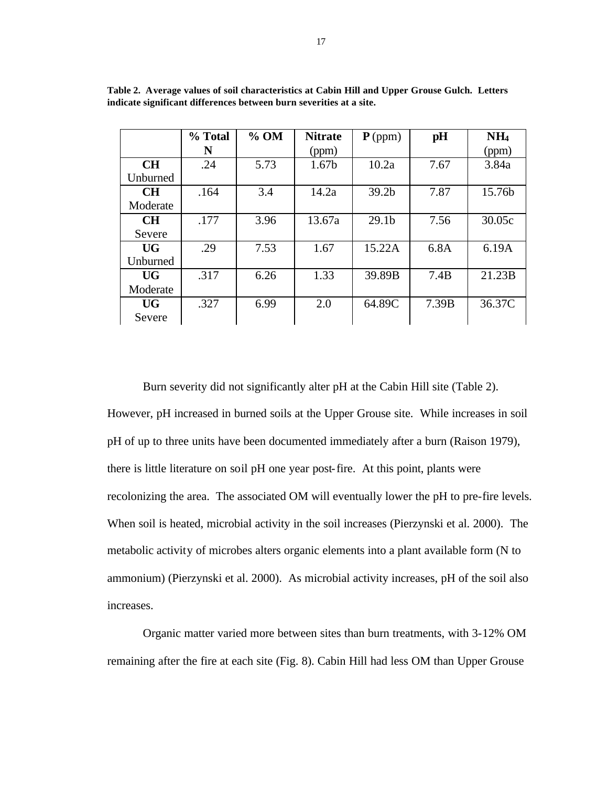|           | % Total | $%$ OM | <b>Nitrate</b>    | $P$ (ppm)         | pH    | NH <sub>4</sub> |
|-----------|---------|--------|-------------------|-------------------|-------|-----------------|
|           | N       |        | (ppm)             |                   |       | (ppm)           |
| <b>CH</b> | .24     | 5.73   | 1.67 <sub>b</sub> | 10.2a             | 7.67  | 3.84a           |
| Unburned  |         |        |                   |                   |       |                 |
| <b>CH</b> | .164    | 3.4    | 14.2a             | 39.2 <sub>b</sub> | 7.87  | 15.76b          |
| Moderate  |         |        |                   |                   |       |                 |
| <b>CH</b> | .177    | 3.96   | 13.67a            | 29.1 <sub>b</sub> | 7.56  | 30.05c          |
| Severe    |         |        |                   |                   |       |                 |
| <b>UG</b> | .29     | 7.53   | 1.67              | 15.22A            | 6.8A  | 6.19A           |
| Unburned  |         |        |                   |                   |       |                 |
| <b>UG</b> | .317    | 6.26   | 1.33              | 39.89B            | 7.4B  | 21.23B          |
| Moderate  |         |        |                   |                   |       |                 |
| <b>UG</b> | .327    | 6.99   | 2.0               | 64.89C            | 7.39B | 36.37C          |
| Severe    |         |        |                   |                   |       |                 |

**Table 2. Average values of soil characteristics at Cabin Hill and Upper Grouse Gulch. Letters indicate significant differences between burn severities at a site.**

Burn severity did not significantly alter pH at the Cabin Hill site (Table 2). However, pH increased in burned soils at the Upper Grouse site. While increases in soil pH of up to three units have been documented immediately after a burn (Raison 1979), there is little literature on soil pH one year post-fire. At this point, plants were recolonizing the area. The associated OM will eventually lower the pH to pre-fire levels. When soil is heated, microbial activity in the soil increases (Pierzynski et al. 2000). The metabolic activity of microbes alters organic elements into a plant available form (N to ammonium) (Pierzynski et al. 2000). As microbial activity increases, pH of the soil also increases.

Organic matter varied more between sites than burn treatments, with 3-12% OM remaining after the fire at each site (Fig. 8). Cabin Hill had less OM than Upper Grouse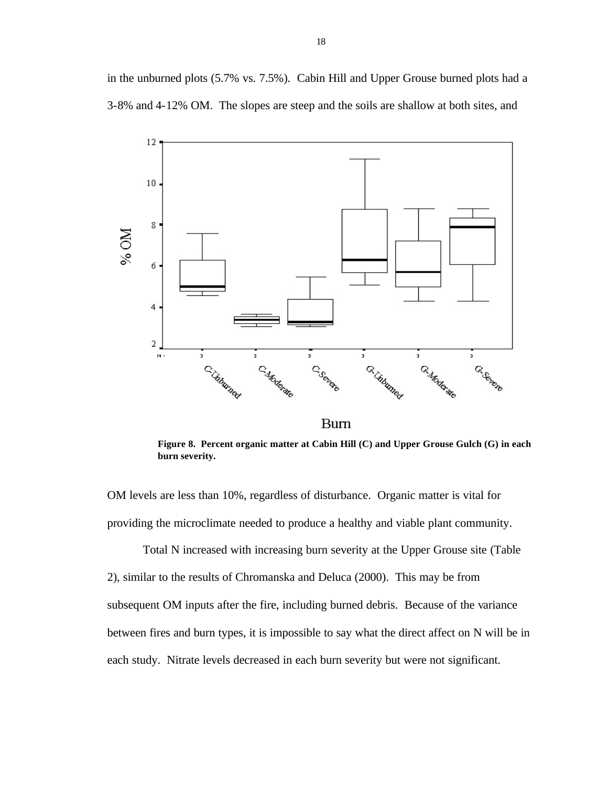in the unburned plots (5.7% vs. 7.5%). Cabin Hill and Upper Grouse burned plots had a 3-8% and 4-12% OM. The slopes are steep and the soils are shallow at both sites, and



**Burn** 

**Figure 8. Percent organic matter at Cabin Hill (C) and Upper Grouse Gulch (G) in each burn severity.**

OM levels are less than 10%, regardless of disturbance. Organic matter is vital for providing the microclimate needed to produce a healthy and viable plant community.

Total N increased with increasing burn severity at the Upper Grouse site (Table 2), similar to the results of Chromanska and Deluca (2000). This may be from subsequent OM inputs after the fire, including burned debris. Because of the variance between fires and burn types, it is impossible to say what the direct affect on N will be in each study. Nitrate levels decreased in each burn severity but were not significant.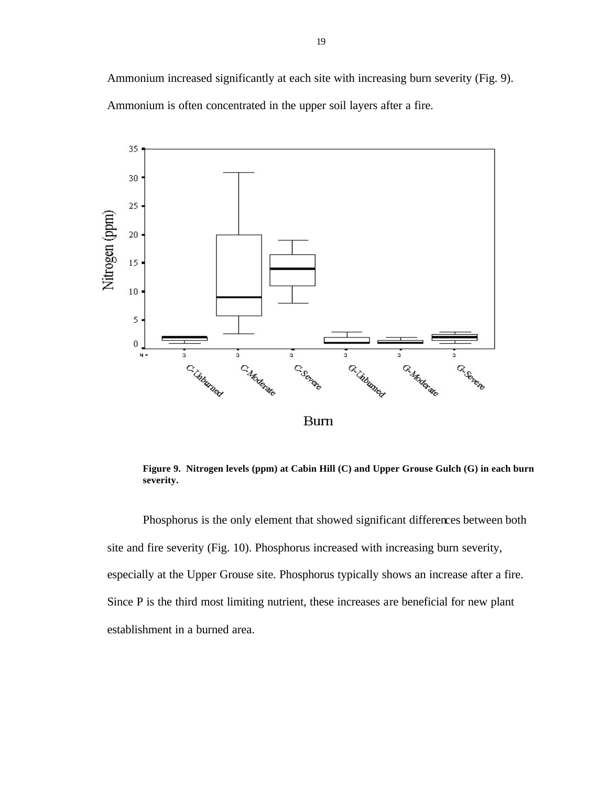Ammonium increased significantly at each site with increasing burn severity (Fig. 9). Ammonium is often concentrated in the upper soil layers after a fire.



**Figure 9. Nitrogen levels (ppm) at Cabin Hill (C) and Upper Grouse Gulch (G) in each burn severity.**

Phosphorus is the only element that showed significant differences between both site and fire severity (Fig. 10). Phosphorus increased with increasing burn severity, especially at the Upper Grouse site. Phosphorus typically shows an increase after a fire. Since P is the third most limiting nutrient, these increases are beneficial for new plant establishment in a burned area.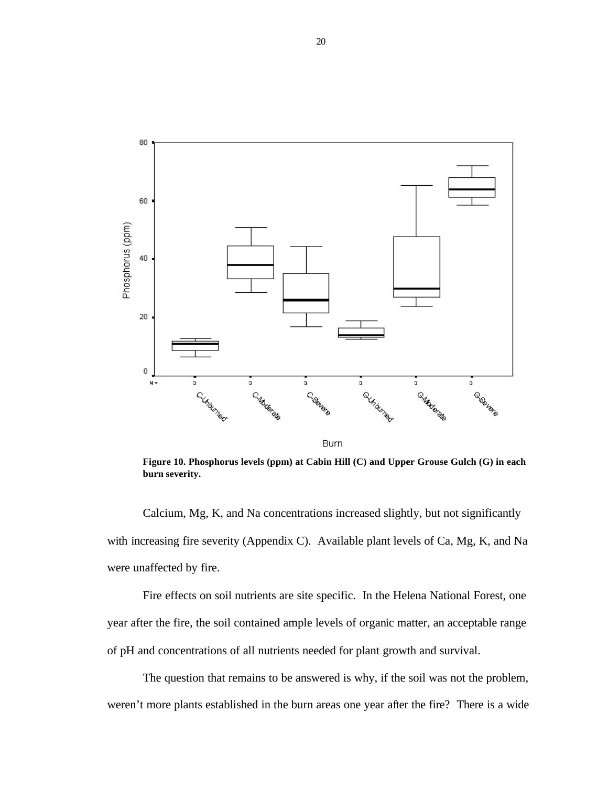

**Figure 10. Phosphorus levels (ppm) at Cabin Hill (C) and Upper Grouse Gulch (G) in each burn severity.**

Calcium, Mg, K, and Na concentrations increased slightly, but not significantly with increasing fire severity (Appendix C). Available plant levels of Ca, Mg, K, and Na were unaffected by fire.

Fire effects on soil nutrients are site specific. In the Helena National Forest, one year after the fire, the soil contained ample levels of organic matter, an acceptable range of pH and concentrations of all nutrients needed for plant growth and survival.

The question that remains to be answered is why, if the soil was not the problem, weren't more plants established in the burn areas one year after the fire? There is a wide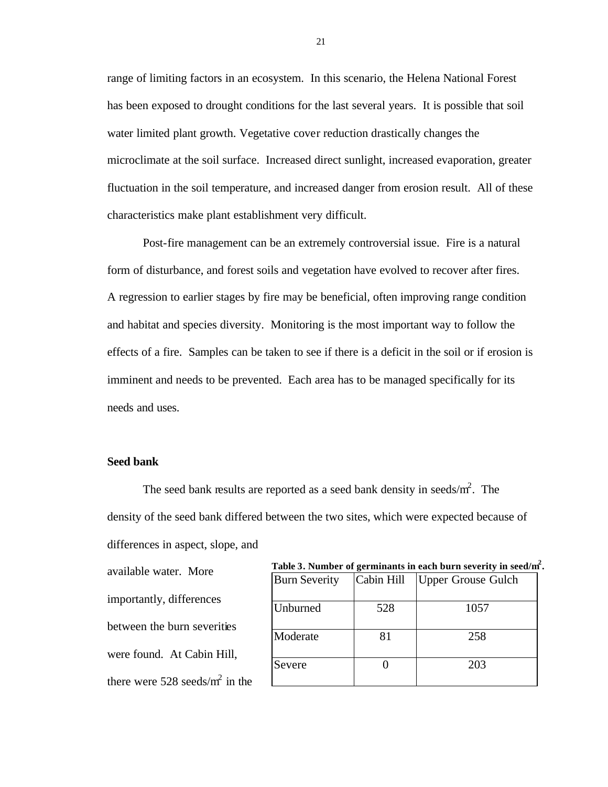range of limiting factors in an ecosystem. In this scenario, the Helena National Forest has been exposed to drought conditions for the last several years. It is possible that soil water limited plant growth. Vegetative cover reduction drastically changes the microclimate at the soil surface. Increased direct sunlight, increased evaporation, greater fluctuation in the soil temperature, and increased danger from erosion result. All of these characteristics make plant establishment very difficult.

Post-fire management can be an extremely controversial issue. Fire is a natural form of disturbance, and forest soils and vegetation have evolved to recover after fires. A regression to earlier stages by fire may be beneficial, often improving range condition and habitat and species diversity. Monitoring is the most important way to follow the effects of a fire. Samples can be taken to see if there is a deficit in the soil or if erosion is imminent and needs to be prevented. Each area has to be managed specifically for its needs and uses.

#### **Seed bank**

The seed bank results are reported as a seed bank density in seeds/ $m^2$ . The density of the seed bank differed between the two sites, which were expected because of differences in aspect, slope, and

available water. More importantly, differences between the burn severities were found. At Cabin Hill, there were  $528$  seeds/m<sup>2</sup> in the

| Table 3. Number of germinants in each burn severity in seed/m <sup>2</sup> . |  |  |  |
|------------------------------------------------------------------------------|--|--|--|
|------------------------------------------------------------------------------|--|--|--|

| <b>Burn Severity</b> | Cabin Hill | <b>Upper Grouse Gulch</b> |
|----------------------|------------|---------------------------|
| Unburned             | 528        | 1057                      |
| Moderate             | 81         | 258                       |
| Severe               |            | 203                       |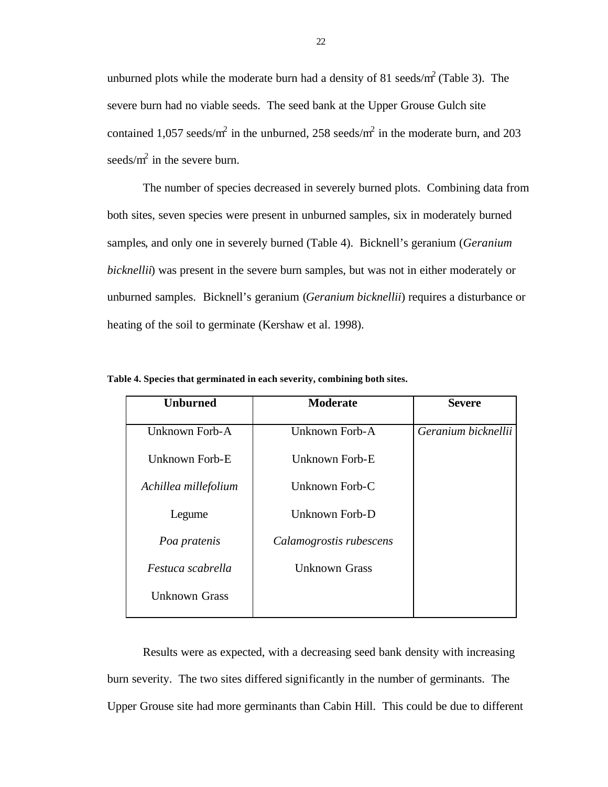unburned plots while the moderate burn had a density of 81 seeds/ $m^2$  (Table 3). The severe burn had no viable seeds. The seed bank at the Upper Grouse Gulch site contained 1,057 seeds/m<sup>2</sup> in the unburned, 258 seeds/m<sup>2</sup> in the moderate burn, and 203 seeds/ $m^2$  in the severe burn.

The number of species decreased in severely burned plots. Combining data from both sites, seven species were present in unburned samples, six in moderately burned samples, and only one in severely burned (Table 4). Bicknell's geranium (*Geranium bicknellii*) was present in the severe burn samples, but was not in either moderately or unburned samples. Bicknell's geranium (*Geranium bicknellii*) requires a disturbance or heating of the soil to germinate (Kershaw et al. 1998).

| <b>Unburned</b>      | <b>Moderate</b>         | <b>Severe</b>       |  |  |
|----------------------|-------------------------|---------------------|--|--|
| Unknown Forb-A       | Unknown Forb-A          | Geranium bicknellii |  |  |
| Unknown Forb-E       | Unknown Forb-E          |                     |  |  |
| Achillea millefolium | Unknown Forb-C          |                     |  |  |
| Legume               | Unknown Forb-D          |                     |  |  |
| Poa pratenis         | Calamogrostis rubescens |                     |  |  |
| Festuca scabrella    | Unknown Grass           |                     |  |  |
| <b>Unknown Grass</b> |                         |                     |  |  |

**Table 4. Species that germinated in each severity, combining both sites.** 

Results were as expected, with a decreasing seed bank density with increasing burn severity. The two sites differed significantly in the number of germinants. The Upper Grouse site had more germinants than Cabin Hill. This could be due to different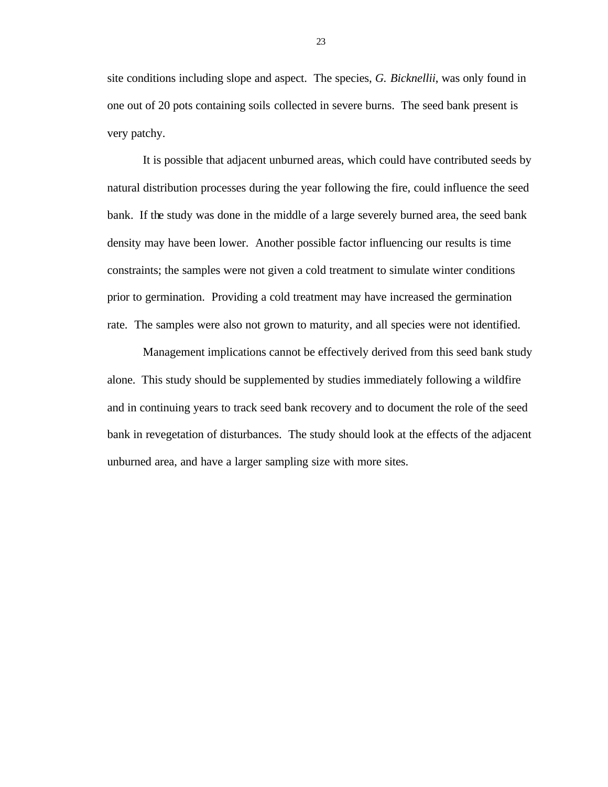site conditions including slope and aspect. The species, *G. Bicknellii*, was only found in one out of 20 pots containing soils collected in severe burns. The seed bank present is very patchy.

It is possible that adjacent unburned areas, which could have contributed seeds by natural distribution processes during the year following the fire, could influence the seed bank. If the study was done in the middle of a large severely burned area, the seed bank density may have been lower. Another possible factor influencing our results is time constraints; the samples were not given a cold treatment to simulate winter conditions prior to germination. Providing a cold treatment may have increased the germination rate. The samples were also not grown to maturity, and all species were not identified.

Management implications cannot be effectively derived from this seed bank study alone. This study should be supplemented by studies immediately following a wildfire and in continuing years to track seed bank recovery and to document the role of the seed bank in revegetation of disturbances. The study should look at the effects of the adjacent unburned area, and have a larger sampling size with more sites.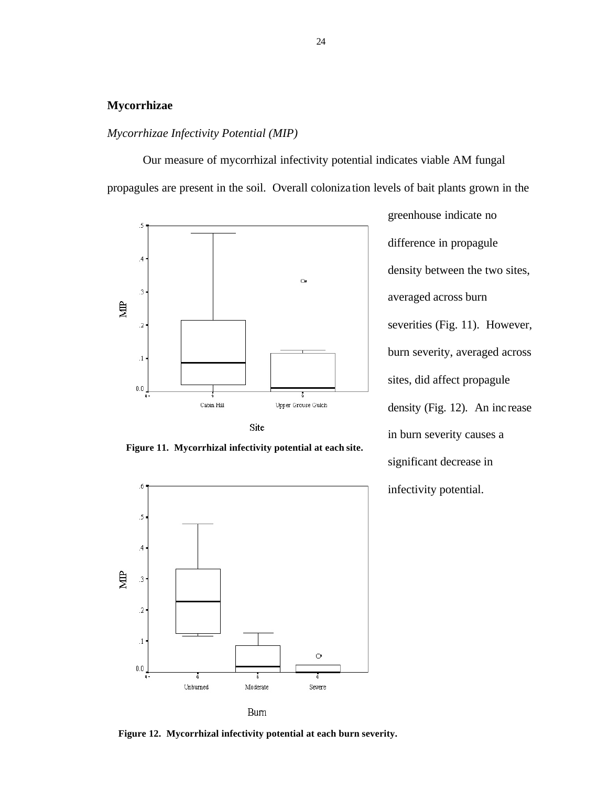#### **Mycorrhizae**

### *Mycorrhizae Infectivity Potential (MIP)*

Our measure of mycorrhizal infectivity potential indicates viable AM fungal propagules are present in the soil. Overall coloniza tion levels of bait plants grown in the







greenhouse indicate no difference in propagule density between the two sites, averaged across burn severities (Fig. 11). However, burn severity, averaged across sites, did affect propagule density (Fig. 12). An increase in burn severity causes a significant decrease in infectivity potential.

**Figure 12. Mycorrhizal infectivity potential at each burn severity.**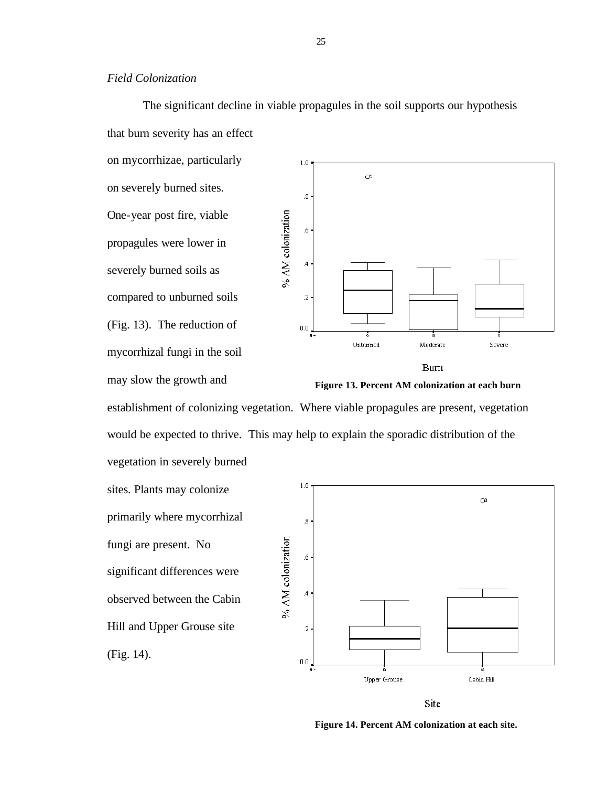The significant decline in viable propagules in the soil supports our hypothesis that burn severity has an effect on mycorrhizae, particularly

on severely burned sites. One-year post fire, viable propagules were lower in severely burned soils as compared to unburned soils (Fig. 13). The reduction of mycorrhizal fungi in the soil may slow the growth and



**Burn** 



establishment of colonizing vegetation. Where viable propagules are present, vegetation would be expected to thrive. This may help to explain the sporadic distribution of the vegetation in severely burned

sites. Plants may colonize primarily where mycorrhizal fungi are present. No significant differences were observed between the Cabin Hill and Upper Grouse site (Fig. 14).



Site

**Figure 14. Percent AM colonization at each site.**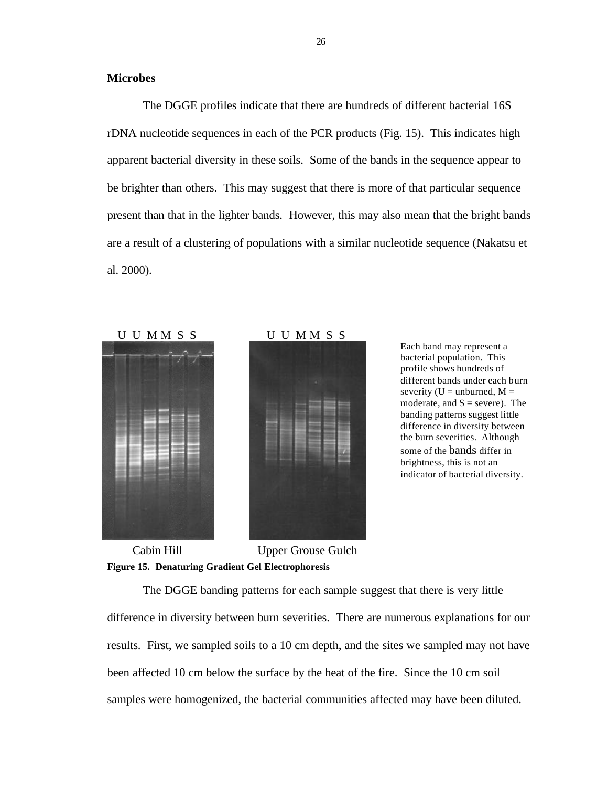The DGGE profiles indicate that there are hundreds of different bacterial 16S rDNA nucleotide sequences in each of the PCR products (Fig. 15). This indicates high apparent bacterial diversity in these soils. Some of the bands in the sequence appear to be brighter than others. This may suggest that there is more of that particular sequence present than that in the lighter bands. However, this may also mean that the bright bands are a result of a clustering of populations with a similar nucleotide sequence (Nakatsu et al. 2000).





Each band may represent a bacterial population. This profile shows hundreds of different bands under each burn severity ( $U =$  unburned,  $M =$ moderate, and  $S =$  severe). The banding patterns suggest little difference in diversity between the burn severities. Although some of the bands differ in brightness, this is not an indicator of bacterial diversity.

**Figure 15. Denaturing Gradient Gel Electrophoresis** Cabin Hill Upper Grouse Gulch

The DGGE banding patterns for each sample suggest that there is very little difference in diversity between burn severities. There are numerous explanations for our results. First, we sampled soils to a 10 cm depth, and the sites we sampled may not have been affected 10 cm below the surface by the heat of the fire. Since the 10 cm soil samples were homogenized, the bacterial communities affected may have been diluted.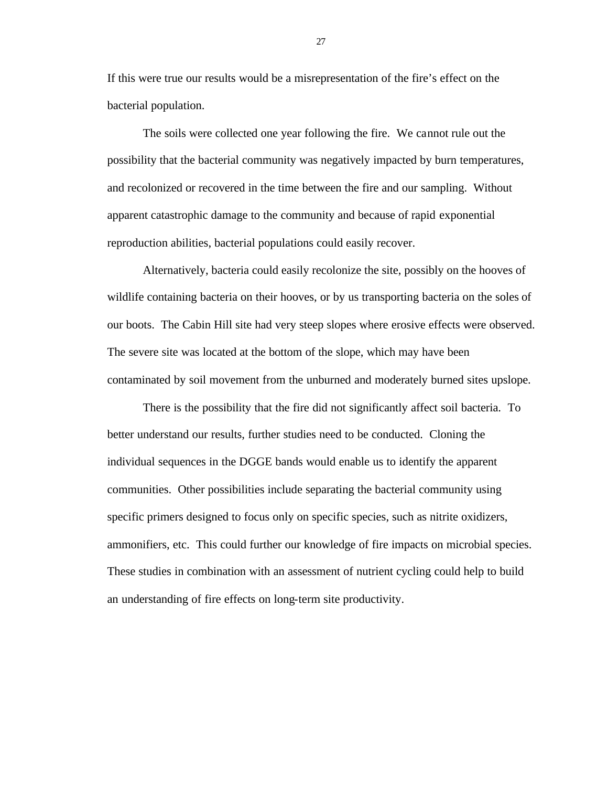If this were true our results would be a misrepresentation of the fire's effect on the bacterial population.

The soils were collected one year following the fire. We cannot rule out the possibility that the bacterial community was negatively impacted by burn temperatures, and recolonized or recovered in the time between the fire and our sampling. Without apparent catastrophic damage to the community and because of rapid exponential reproduction abilities, bacterial populations could easily recover.

Alternatively, bacteria could easily recolonize the site, possibly on the hooves of wildlife containing bacteria on their hooves, or by us transporting bacteria on the soles of our boots. The Cabin Hill site had very steep slopes where erosive effects were observed. The severe site was located at the bottom of the slope, which may have been contaminated by soil movement from the unburned and moderately burned sites upslope.

There is the possibility that the fire did not significantly affect soil bacteria. To better understand our results, further studies need to be conducted. Cloning the individual sequences in the DGGE bands would enable us to identify the apparent communities. Other possibilities include separating the bacterial community using specific primers designed to focus only on specific species, such as nitrite oxidizers, ammonifiers, etc. This could further our knowledge of fire impacts on microbial species. These studies in combination with an assessment of nutrient cycling could help to build an understanding of fire effects on long-term site productivity.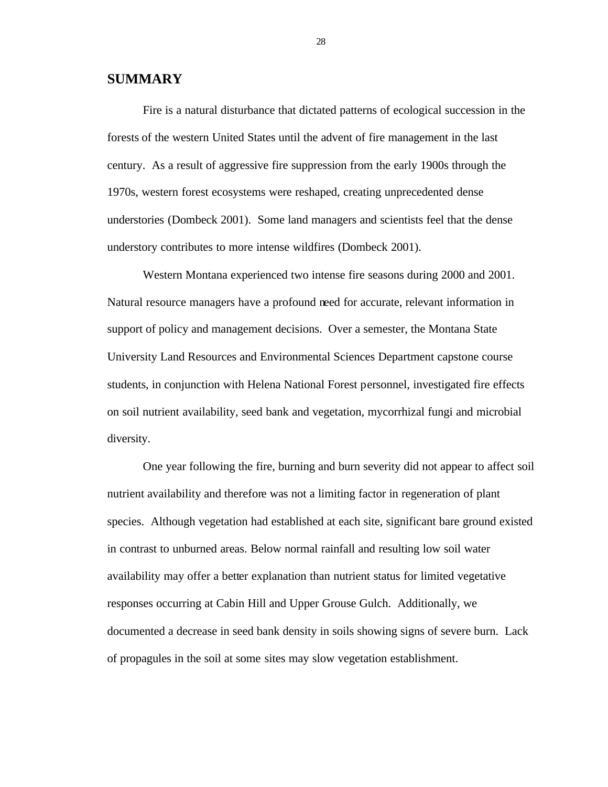### **SUMMARY**

Fire is a natural disturbance that dictated patterns of ecological succession in the forests of the western United States until the advent of fire management in the last century. As a result of aggressive fire suppression from the early 1900s through the 1970s, western forest ecosystems were reshaped, creating unprecedented dense understories (Dombeck 2001). Some land managers and scientists feel that the dense understory contributes to more intense wildfires (Dombeck 2001).

Western Montana experienced two intense fire seasons during 2000 and 2001. Natural resource managers have a profound need for accurate, relevant information in support of policy and management decisions. Over a semester, the Montana State University Land Resources and Environmental Sciences Department capstone course students, in conjunction with Helena National Forest personnel, investigated fire effects on soil nutrient availability, seed bank and vegetation, mycorrhizal fungi and microbial diversity.

One year following the fire, burning and burn severity did not appear to affect soil nutrient availability and therefore was not a limiting factor in regeneration of plant species. Although vegetation had established at each site, significant bare ground existed in contrast to unburned areas. Below normal rainfall and resulting low soil water availability may offer a better explanation than nutrient status for limited vegetative responses occurring at Cabin Hill and Upper Grouse Gulch. Additionally, we documented a decrease in seed bank density in soils showing signs of severe burn. Lack of propagules in the soil at some sites may slow vegetation establishment.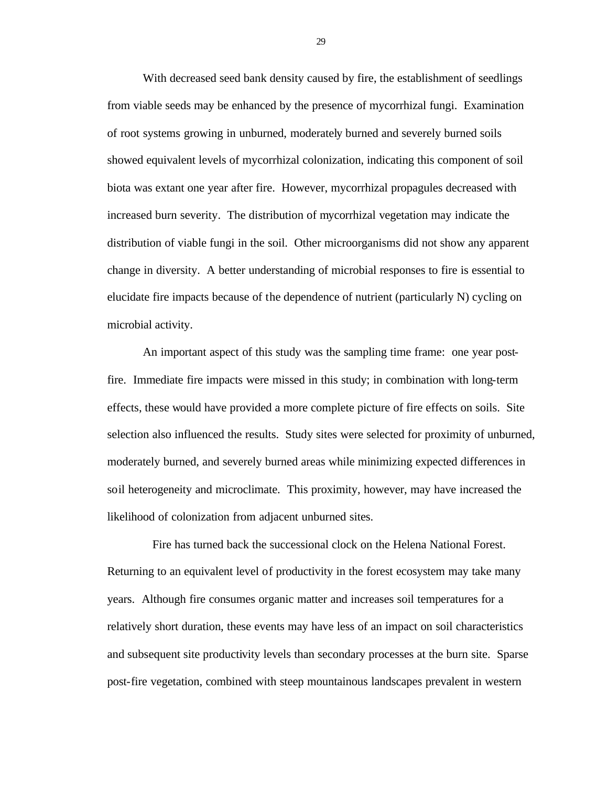With decreased seed bank density caused by fire, the establishment of seedlings from viable seeds may be enhanced by the presence of mycorrhizal fungi. Examination of root systems growing in unburned, moderately burned and severely burned soils showed equivalent levels of mycorrhizal colonization, indicating this component of soil biota was extant one year after fire. However, mycorrhizal propagules decreased with increased burn severity. The distribution of mycorrhizal vegetation may indicate the distribution of viable fungi in the soil. Other microorganisms did not show any apparent change in diversity. A better understanding of microbial responses to fire is essential to elucidate fire impacts because of the dependence of nutrient (particularly N) cycling on microbial activity.

An important aspect of this study was the sampling time frame: one year postfire. Immediate fire impacts were missed in this study; in combination with long-term effects, these would have provided a more complete picture of fire effects on soils. Site selection also influenced the results. Study sites were selected for proximity of unburned, moderately burned, and severely burned areas while minimizing expected differences in soil heterogeneity and microclimate. This proximity, however, may have increased the likelihood of colonization from adjacent unburned sites.

 Fire has turned back the successional clock on the Helena National Forest. Returning to an equivalent level of productivity in the forest ecosystem may take many years. Although fire consumes organic matter and increases soil temperatures for a relatively short duration, these events may have less of an impact on soil characteristics and subsequent site productivity levels than secondary processes at the burn site. Sparse post-fire vegetation, combined with steep mountainous landscapes prevalent in western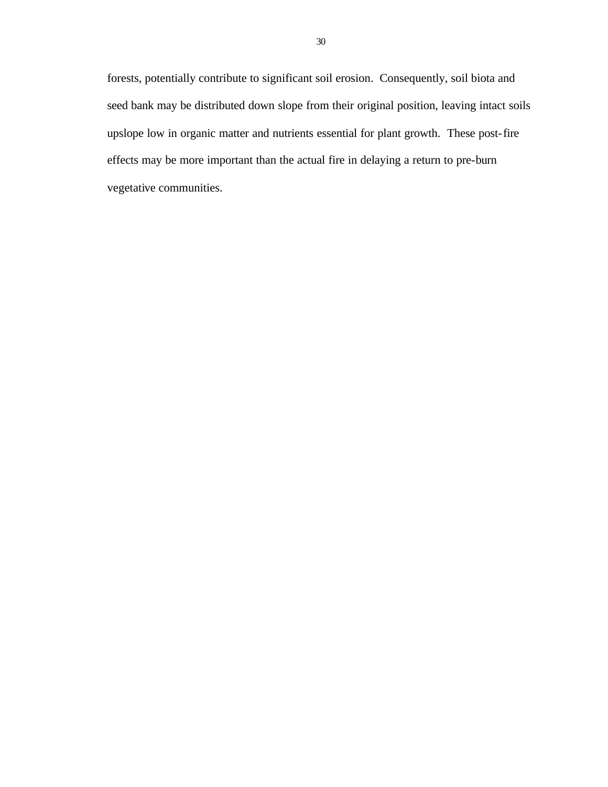forests, potentially contribute to significant soil erosion. Consequently, soil biota and seed bank may be distributed down slope from their original position, leaving intact soils upslope low in organic matter and nutrients essential for plant growth. These post-fire effects may be more important than the actual fire in delaying a return to pre-burn vegetative communities.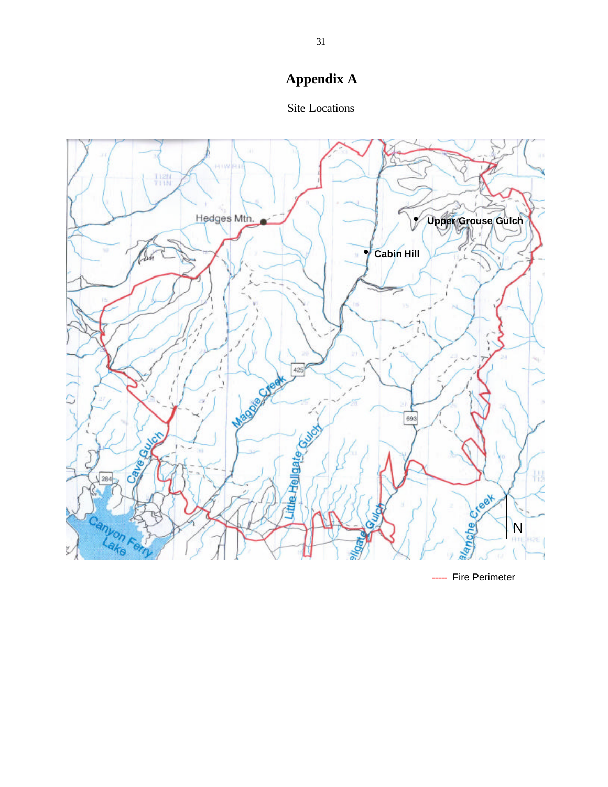# **Appendix A**





**--** Fire Perimeter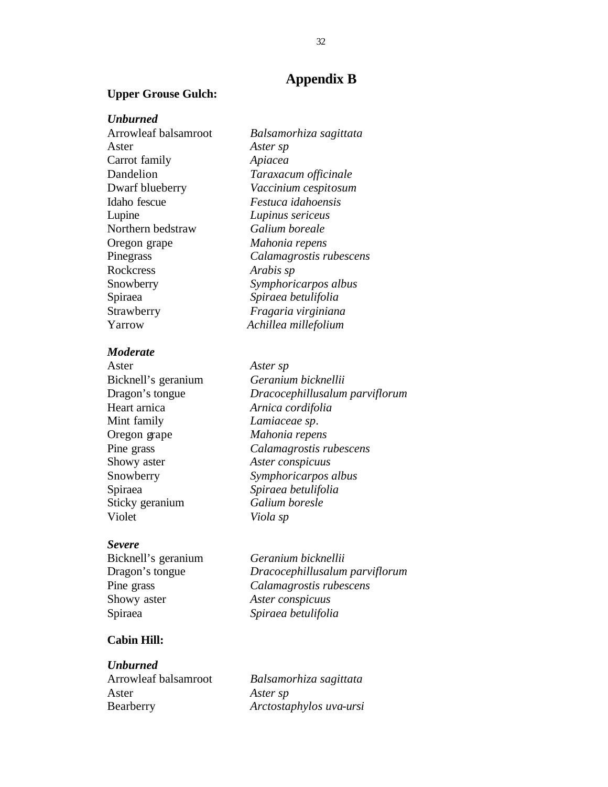#### **Upper Grouse Gulch:**

#### *Unburned*

Arrowleaf balsamroot *Balsamorhiza sagittata* Aster *Aster sp* Carrot family *Apiacea* Dandelion *Taraxacum officinale* Dwarf blueberry *Vaccinium cespitosum* Idaho fescue *Festuca idahoensis* Lupine *Lupinus sericeus* Northern bedstraw *Galium boreale* Oregon grape *Mahonia repens* Pinegrass *Calamagrostis rubescens* Rockcress *Arabis sp* Snowberry *Symphoricarpos albus* Spiraea *Spiraea betulifolia* Strawberry *Fragaria virginiana* Yarrow *Achillea millefolium*

#### *Moderate*

Aster *Aster sp* Heart arnica *Arnica cordifolia* Mint family *Lamiaceae sp*. Oregon grape *Mahonia repens* Showy aster *Aster conspicuus* Sticky geranium *Galium boresle* Violet *Viola sp*

#### *Severe*

Showy aster *Aster conspicuus*

Bicknell's geranium *Geranium bicknellii* Dragon's tongue *Dracocephillusalum parviflorum* Pine grass *Calamagrostis rubescens* Spiraea *Spiraea betulifolia*

### **Cabin Hill:**

*Unburned*

Arrowleaf balsamroot *Balsamorhiza sagittata* Aster *Aster sp* Bearberry *Arctostaphylos uva-ursi*

Bicknell's geranium *Geranium bicknellii* Dragon's tongue *Dracocephillusalum parviflorum* Pine grass *Calamagrostis rubescens* Snowberry *Symphoricarpos albus* Spiraea *Spiraea betulifolia*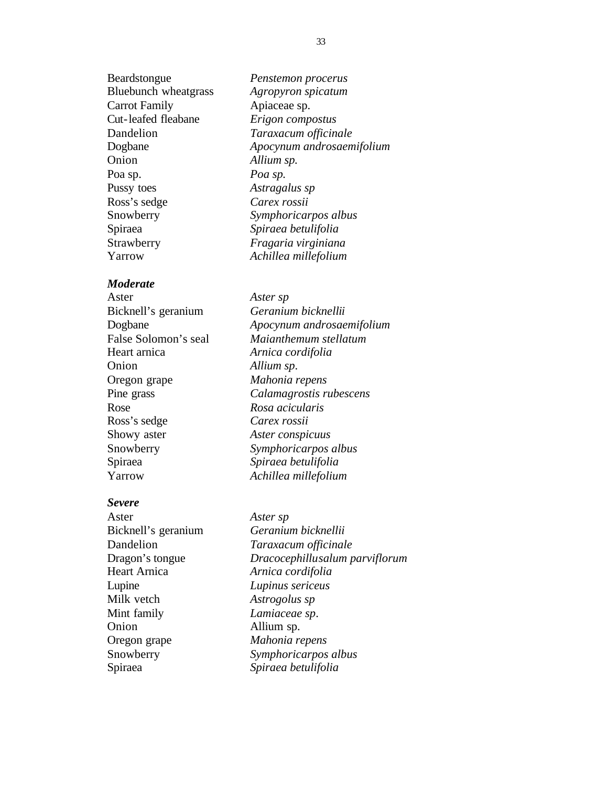Beardstongue *Penstemon procerus* Bluebunch wheatgrass *Agropyron spicatum* Carrot Family **Apiaceae** sp. Cut-leafed fleabane *Erigon compostus* Dandelion *Taraxacum officinale* Dogbane *Apocynum androsaemifolium* Onion *Allium sp.* Poa sp. *Poa sp.* Pussy toes *Astragalus sp* Ross's sedge *Carex rossii* Spiraea *Spiraea betulifolia* Strawberry *Fragaria virginiana* Yarrow *Achillea millefolium*

#### *Moderate*

Aster *Aster sp* Bicknell's geranium *Geranium bicknellii* Heart arnica *Arnica cordifolia* Onion *Allium sp*. Oregon grape *Mahonia repens* Rose *Rosa acicularis* Ross's sedge *Carex rossii* Showy aster *Aster conspicuus* Spiraea *Spiraea betulifolia* Yarrow *Achillea millefolium*

#### *Severe*

Aster *Aster sp* Heart Arnica *Arnica cordifolia* Lupine *Lupinus sericeus* Milk vetch *Astrogolus sp* Mint family *Lamiaceae sp*. Onion Allium sp. Oregon grape *Mahonia repens*

Snowberry *Symphoricarpos albus* Dogbane *Apocynum androsaemifolium* False Solomon's seal *Maianthemum stellatum* Pine grass *Calamagrostis rubescens* Snowberry *Symphoricarpos albus*

Bicknell's geranium *Geranium bicknellii* Dandelion *Taraxacum officinale* Dragon's tongue *Dracocephillusalum parviflorum* Snowberry *Symphoricarpos albus* Spiraea *Spiraea betulifolia*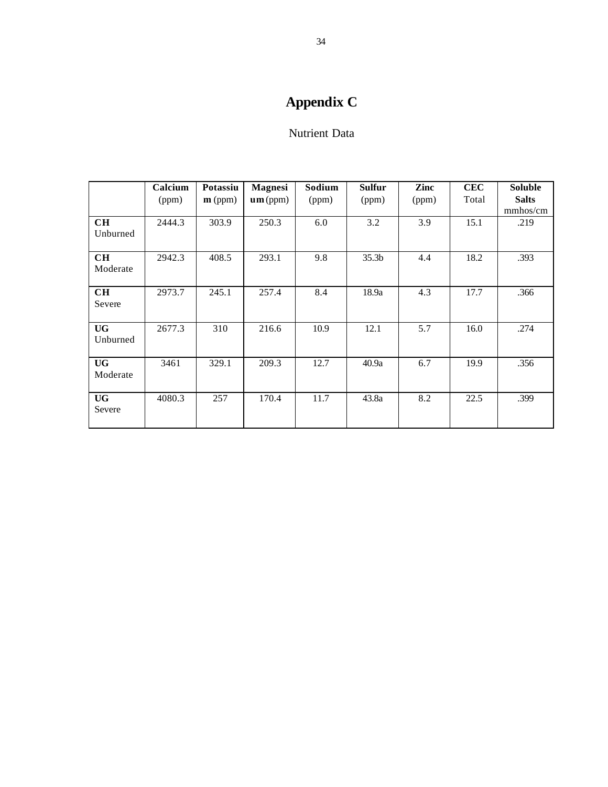# **Appendix C**

# Nutrient Data

| Calcium | Potassiu           | <b>Magnesi</b> | Sodium | <b>Sulfur</b>     | Zinc  | <b>CEC</b> | <b>Soluble</b> |
|---------|--------------------|----------------|--------|-------------------|-------|------------|----------------|
| (ppm)   | $\mathbf{m}$ (ppm) | um(ppm)        | (ppm)  | (ppm)             | (ppm) | Total      | <b>Salts</b>   |
|         |                    |                |        |                   |       |            | mmhos/cm       |
| 2444.3  | 303.9              | 250.3          | 6.0    | 3.2               |       | 15.1       | .219           |
|         |                    |                |        |                   |       |            |                |
| 2942.3  | 408.5              | 293.1          | 9.8    | 35.3 <sub>b</sub> | 4.4   | 18.2       | .393           |
|         |                    |                |        |                   |       |            |                |
| 2973.7  | 245.1              | 257.4          | 8.4    | 18.9a             | 4.3   | 17.7       | .366           |
|         |                    |                |        |                   |       |            |                |
| 2677.3  | 310                | 216.6          | 10.9   | 12.1              | 5.7   | 16.0       | .274           |
|         |                    |                |        |                   |       |            |                |
| 3461    | 329.1              | 209.3          | 12.7   | 40.9a             | 6.7   | 19.9       | .356           |
|         |                    |                |        |                   |       |            |                |
| 4080.3  | 257                | 170.4          | 11.7   | 43.8a             | 8.2   | 22.5       | .399           |
|         |                    |                |        |                   |       |            |                |
|         |                    |                |        |                   |       | 3.9        |                |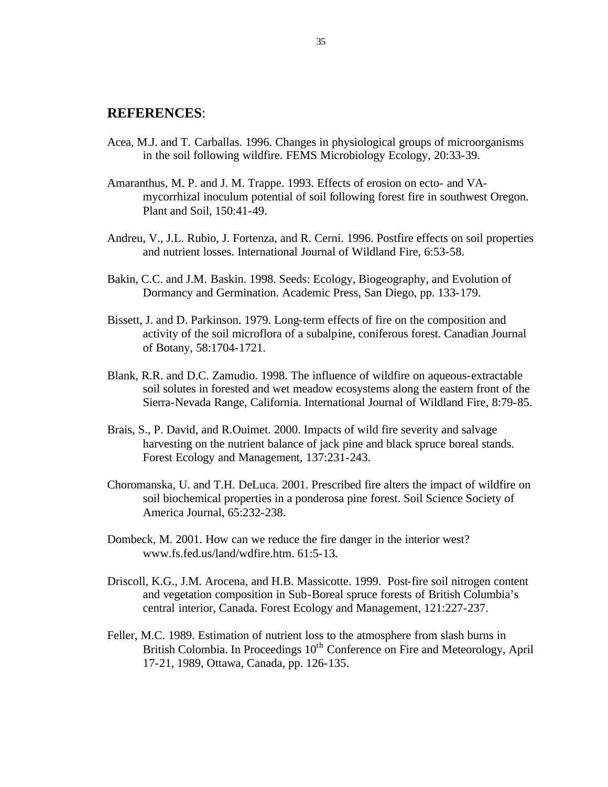## **REFERENCES**:

- Acea, M.J. and T. Carballas. 1996. Changes in physiological groups of microorganisms in the soil following wildfire. FEMS Microbiology Ecology, 20:33-39.
- Amaranthus, M. P. and J. M. Trappe. 1993. Effects of erosion on ecto- and VAmycorrhizal inoculum potential of soil following forest fire in southwest Oregon. Plant and Soil, 150:41-49.
- Andreu, V., J.L. Rubio, J. Fortenza, and R. Cerni. 1996. Postfire effects on soil properties and nutrient losses. International Journal of Wildland Fire, 6:53-58.
- Bakin, C.C. and J.M. Baskin. 1998. Seeds: Ecology, Biogeography, and Evolution of Dormancy and Germination. Academic Press, San Diego, pp. 133-179.
- Bissett, J. and D. Parkinson. 1979. Long-term effects of fire on the composition and activity of the soil microflora of a subalpine, coniferous forest. Canadian Journal of Botany, 58:1704-1721.
- Blank, R.R. and D.C. Zamudio. 1998. The influence of wildfire on aqueous-extractable soil solutes in forested and wet meadow ecosystems along the eastern front of the Sierra-Nevada Range, California. International Journal of Wildland Fire, 8:79-85.
- Brais, S., P. David, and R.Ouimet. 2000. Impacts of wild fire severity and salvage harvesting on the nutrient balance of jack pine and black spruce boreal stands. Forest Ecology and Management, 137:231-243.
- Choromanska, U. and T.H. DeLuca. 2001. Prescribed fire alters the impact of wildfire on soil biochemical properties in a ponderosa pine forest. Soil Science Society of America Journal, 65:232-238.
- Dombeck, M. 2001. How can we reduce the fire danger in the interior west? www.fs.fed.us/land/wdfire.htm. 61:5-13.
- Driscoll, K.G., J.M. Arocena, and H.B. Massicotte. 1999. Post-fire soil nitrogen content and vegetation composition in Sub-Boreal spruce forests of British Columbia's central interior, Canada. Forest Ecology and Management, 121:227-237.
- Feller, M.C. 1989. Estimation of nutrient loss to the atmosphere from slash burns in British Colombia. In Proceedings  $10<sup>th</sup>$  Conference on Fire and Meteorology, April 17-21, 1989, Ottawa, Canada, pp. 126-135.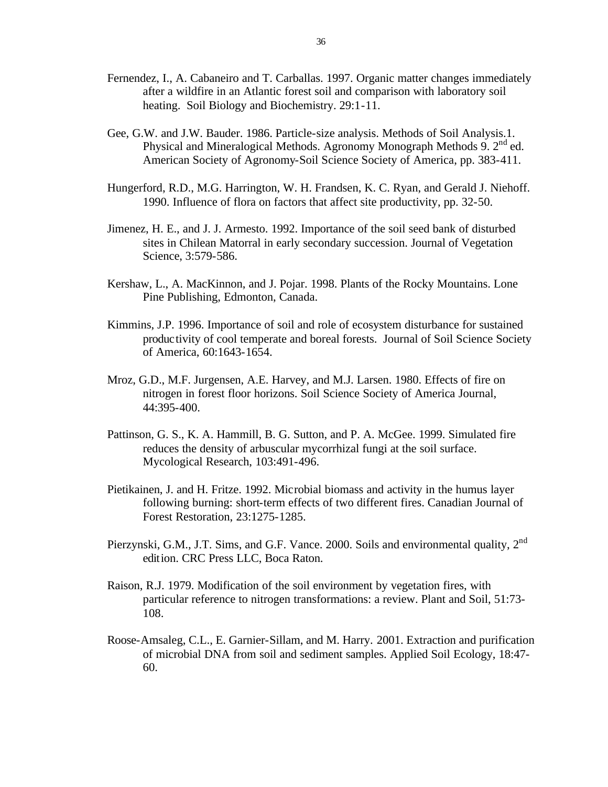- Fernendez, I., A. Cabaneiro and T. Carballas. 1997. Organic matter changes immediately after a wildfire in an Atlantic forest soil and comparison with laboratory soil heating. Soil Biology and Biochemistry. 29:1-11.
- Gee, G.W. and J.W. Bauder. 1986. Particle-size analysis. Methods of Soil Analysis.1. Physical and Mineralogical Methods. Agronomy Monograph Methods 9.  $2<sup>nd</sup>$  ed. American Society of Agronomy-Soil Science Society of America, pp. 383-411.
- Hungerford, R.D., M.G. Harrington, W. H. Frandsen, K. C. Ryan, and Gerald J. Niehoff. 1990. Influence of flora on factors that affect site productivity, pp. 32-50.
- Jimenez, H. E., and J. J. Armesto. 1992. Importance of the soil seed bank of disturbed sites in Chilean Matorral in early secondary succession. Journal of Vegetation Science, 3:579-586.
- Kershaw, L., A. MacKinnon, and J. Pojar. 1998. Plants of the Rocky Mountains. Lone Pine Publishing, Edmonton, Canada.
- Kimmins, J.P. 1996. Importance of soil and role of ecosystem disturbance for sustained productivity of cool temperate and boreal forests. Journal of Soil Science Society of America, 60:1643-1654.
- Mroz, G.D., M.F. Jurgensen, A.E. Harvey, and M.J. Larsen. 1980. Effects of fire on nitrogen in forest floor horizons. Soil Science Society of America Journal, 44:395-400.
- Pattinson, G. S., K. A. Hammill, B. G. Sutton, and P. A. McGee. 1999. Simulated fire reduces the density of arbuscular mycorrhizal fungi at the soil surface. Mycological Research, 103:491-496.
- Pietikainen, J. and H. Fritze. 1992. Microbial biomass and activity in the humus layer following burning: short-term effects of two different fires. Canadian Journal of Forest Restoration, 23:1275-1285.
- Pierzynski, G.M., J.T. Sims, and G.F. Vance. 2000. Soils and environmental quality, 2<sup>nd</sup> edition. CRC Press LLC, Boca Raton.
- Raison, R.J. 1979. Modification of the soil environment by vegetation fires, with particular reference to nitrogen transformations: a review. Plant and Soil, 51:73- 108.
- Roose-Amsaleg, C.L., E. Garnier-Sillam, and M. Harry. 2001. Extraction and purification of microbial DNA from soil and sediment samples. Applied Soil Ecology, 18:47- 60.